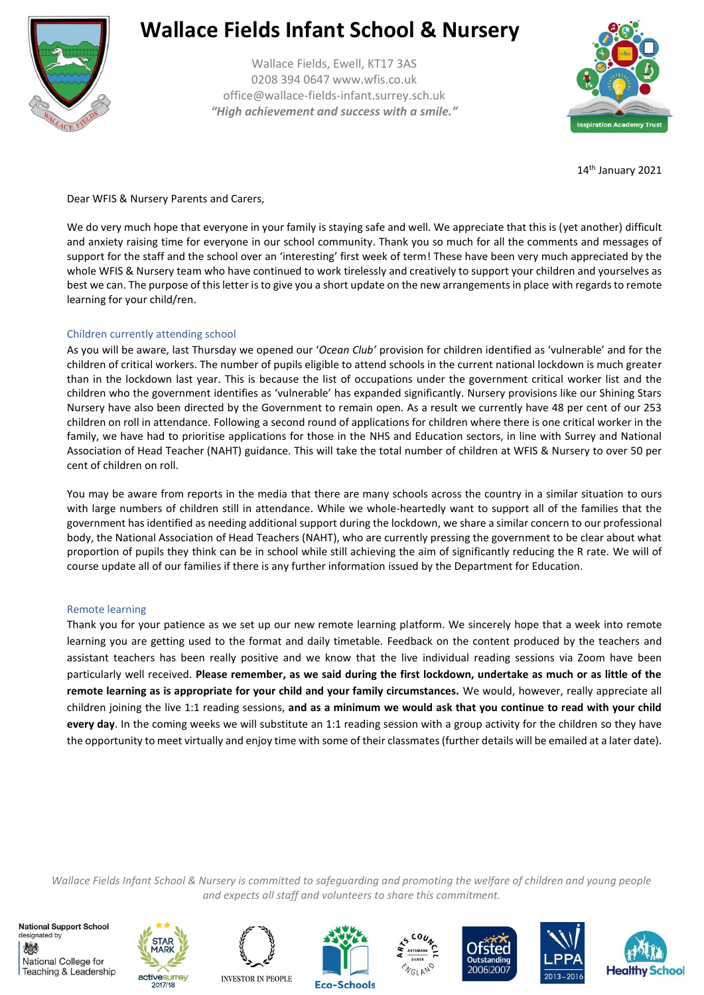

Wallace Fields, Ewell, KT17 3AS 0208 394 0647 www.wfis.co.uk office@wallace-fields-infant.surrey.sch.uk *"High achievement and success with a smile."*



14th January 2021

Dear WFIS & Nursery Parents and Carers,

We do very much hope that everyone in your family is staying safe and well. We appreciate that this is (yet another) difficult and anxiety raising time for everyone in our school community. Thank you so much for all the comments and messages of support for the staff and the school over an 'interesting' first week of term! These have been very much appreciated by the whole WFIS & Nursery team who have continued to work tirelessly and creatively to support your children and yourselves as best we can. The purpose of this letter is to give you a short update on the new arrangements in place with regards to remote learning for your child/ren.

#### Children currently attending school

As you will be aware, last Thursday we opened our '*Ocean Club'* provision for children identified as 'vulnerable' and for the children of critical workers. The number of pupils eligible to attend schools in the current national lockdown is much greater than in the lockdown last year. This is because the list of occupations under the government critical worker list and the children who the government identifies as 'vulnerable' has expanded significantly. Nursery provisions like our Shining Stars Nursery have also been directed by the Government to remain open. As a result we currently have 48 per cent of our 253 children on roll in attendance. Following a second round of applications for children where there is one critical worker in the family, we have had to prioritise applications for those in the NHS and Education sectors, in line with Surrey and National Association of Head Teacher (NAHT) guidance. This will take the total number of children at WFIS & Nursery to over 50 per cent of children on roll.

You may be aware from reports in the media that there are many schools across the country in a similar situation to ours with large numbers of children still in attendance. While we whole-heartedly want to support all of the families that the government has identified as needing additional support during the lockdown, we share a similar concern to our professional body, the National Association of Head Teachers (NAHT), who are currently pressing the government to be clear about what proportion of pupils they think can be in school while still achieving the aim of significantly reducing the R rate. We will of course update all of our families if there is any further information issued by the Department for Education.

#### Remote learning

Thank you for your patience as we set up our new remote learning platform. We sincerely hope that a week into remote learning you are getting used to the format and daily timetable. Feedback on the content produced by the teachers and assistant teachers has been really positive and we know that the live individual reading sessions via Zoom have been particularly well received. **Please remember, as we said during the first lockdown, undertake as much or as little of the remote learning as is appropriate for your child and your family circumstances.** We would, however, really appreciate all children joining the live 1:1 reading sessions, **and as a minimum we would ask that you continue to read with your child every day**. In the coming weeks we will substitute an 1:1 reading session with a group activity for the children so they have the opportunity to meet virtually and enjoy time with some of their classmates (further details will be emailed at a later date).

*Wallace Fields Infant School & Nursery is committed to safeguarding and promoting the welfare of children and young people and expects all staff and volunteers to share this commitment.*

**National Support School** designated by 燃 National College for Teaching & Leadership













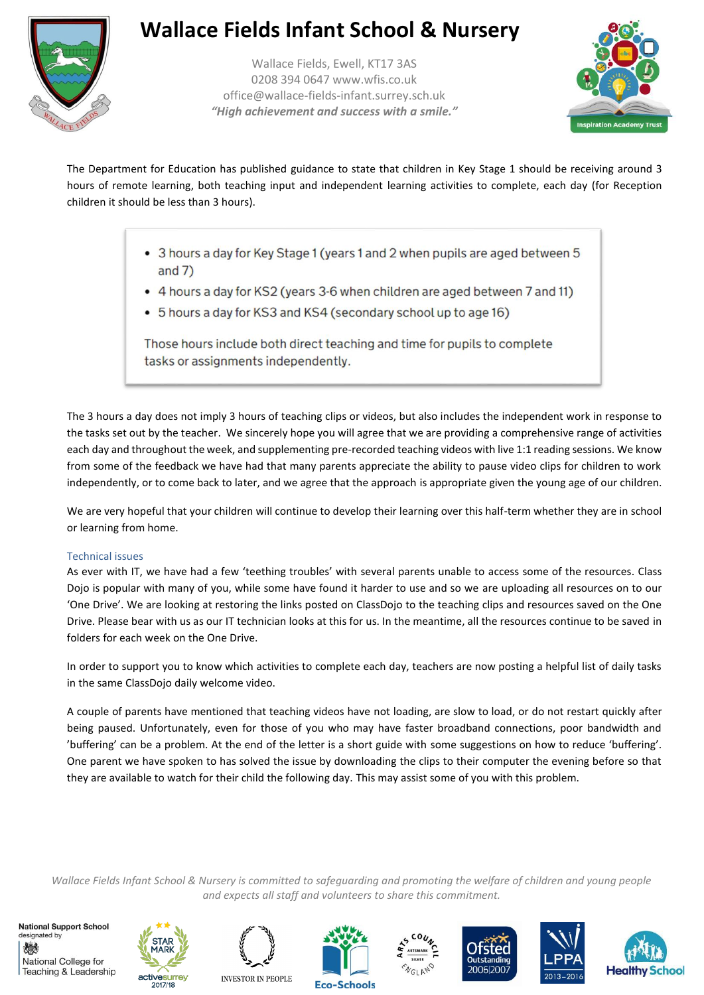

Wallace Fields, Ewell, KT17 3AS 0208 394 0647 www.wfis.co.uk office@wallace-fields-infant.surrey.sch.uk *"High achievement and success with a smile."*



The Department for Education has published guidance to state that children in Key Stage 1 should be receiving around 3 hours of remote learning, both teaching input and independent learning activities to complete, each day (for Reception children it should be less than 3 hours).

- 3 hours a day for Key Stage 1 (years 1 and 2 when pupils are aged between 5 and  $7)$
- 4 hours a day for KS2 (years 3-6 when children are aged between 7 and 11)
- 5 hours a day for KS3 and KS4 (secondary school up to age 16)

Those hours include both direct teaching and time for pupils to complete tasks or assignments independently.

The 3 hours a day does not imply 3 hours of teaching clips or videos, but also includes the independent work in response to the tasks set out by the teacher. We sincerely hope you will agree that we are providing a comprehensive range of activities each day and throughout the week, and supplementing pre-recorded teaching videos with live 1:1 reading sessions. We know from some of the feedback we have had that many parents appreciate the ability to pause video clips for children to work independently, or to come back to later, and we agree that the approach is appropriate given the young age of our children.

We are very hopeful that your children will continue to develop their learning over this half-term whether they are in school or learning from home.

### Technical issues

As ever with IT, we have had a few 'teething troubles' with several parents unable to access some of the resources. Class Dojo is popular with many of you, while some have found it harder to use and so we are uploading all resources on to our 'One Drive'. We are looking at restoring the links posted on ClassDojo to the teaching clips and resources saved on the One Drive. Please bear with us as our IT technician looks at this for us. In the meantime, all the resources continue to be saved in folders for each week on the One Drive.

In order to support you to know which activities to complete each day, teachers are now posting a helpful list of daily tasks in the same ClassDojo daily welcome video.

A couple of parents have mentioned that teaching videos have not loading, are slow to load, or do not restart quickly after being paused. Unfortunately, even for those of you who may have faster broadband connections, poor bandwidth and 'buffering' can be a problem. At the end of the letter is a short guide with some suggestions on how to reduce 'buffering'. One parent we have spoken to has solved the issue by downloading the clips to their computer the evening before so that they are available to watch for their child the following day. This may assist some of you with this problem.

*Wallace Fields Infant School & Nursery is committed to safeguarding and promoting the welfare of children and young people and expects all staff and volunteers to share this commitment.*

**National Support School** designated by 炒 National College for Teaching & Leadership











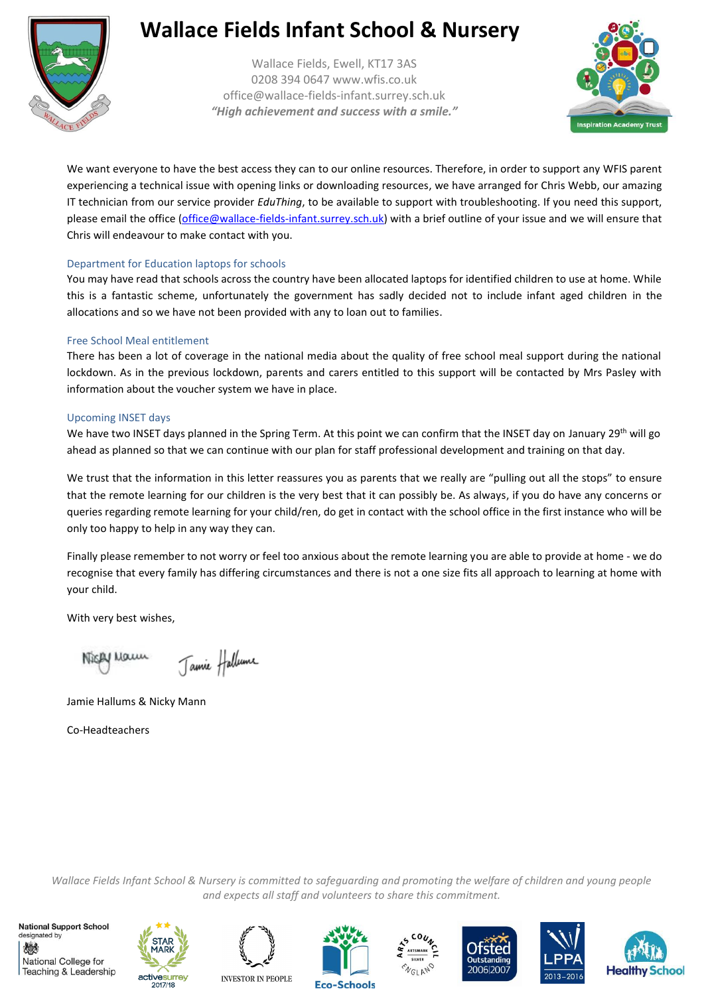

Wallace Fields, Ewell, KT17 3AS 0208 394 0647 www.wfis.co.uk office@wallace-fields-infant.surrey.sch.uk *"High achievement and success with a smile."*



We want everyone to have the best access they can to our online resources. Therefore, in order to support any WFIS parent experiencing a technical issue with opening links or downloading resources, we have arranged for Chris Webb, our amazing IT technician from our service provider *EduThing*, to be available to support with troubleshooting. If you need this support, please email the office [\(office@wallace-fields-infant.surrey.sch.uk\)](mailto:office@wallace-fields-infant.surrey.sch.uk) with a brief outline of your issue and we will ensure that Chris will endeavour to make contact with you.

#### Department for Education laptops for schools

You may have read that schools across the country have been allocated laptops for identified children to use at home. While this is a fantastic scheme, unfortunately the government has sadly decided not to include infant aged children in the allocations and so we have not been provided with any to loan out to families.

#### Free School Meal entitlement

There has been a lot of coverage in the national media about the quality of free school meal support during the national lockdown. As in the previous lockdown, parents and carers entitled to this support will be contacted by Mrs Pasley with information about the voucher system we have in place.

#### Upcoming INSET days

We have two INSET days planned in the Spring Term. At this point we can confirm that the INSET day on January 29<sup>th</sup> will go ahead as planned so that we can continue with our plan for staff professional development and training on that day.

We trust that the information in this letter reassures you as parents that we really are "pulling out all the stops" to ensure that the remote learning for our children is the very best that it can possibly be. As always, if you do have any concerns or queries regarding remote learning for your child/ren, do get in contact with the school office in the first instance who will be only too happy to help in any way they can.

Finally please remember to not worry or feel too anxious about the remote learning you are able to provide at home - we do recognise that every family has differing circumstances and there is not a one size fits all approach to learning at home with your child.

With very best wishes,

Jamie Hallume Nicky Maun

Jamie Hallums & Nicky Mann

Co-Headteachers

*Wallace Fields Infant School & Nursery is committed to safeguarding and promoting the welfare of children and young people and expects all staff and volunteers to share this commitment.*

**National Support School** designated by 戀 National College for Teaching & Leadership